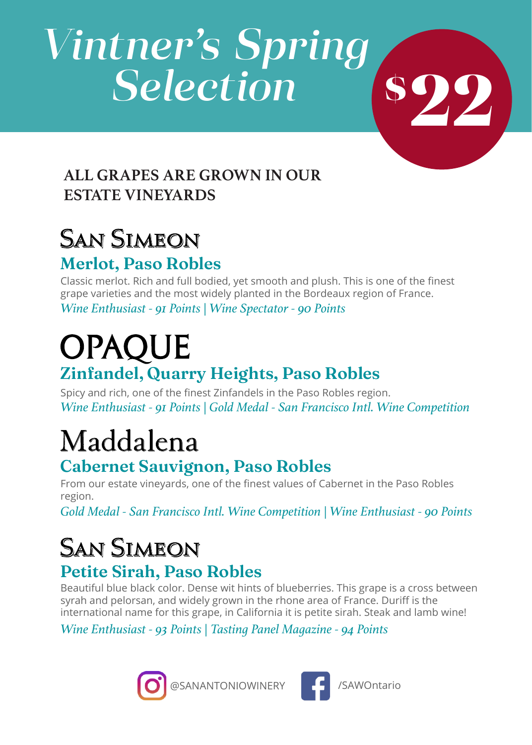# *Vintner's Spring Selection*

#### **ALL GRAPES ARE GROWN IN OUR ESTATE VINEYARDS**

#### San Simeon **Merlot, Paso Robles**

Classic merlot. Rich and full bodied, yet smooth and plush. This is one of the finest grape varieties and the most widely planted in the Bordeaux region of France.

*Wine Enthusiast - 91 Points | Wine Spectator - 90 Points*

## **OPAQUE Zinfandel, Quarry Heights, Paso Robles**

Spicy and rich, one of the finest Zinfandels in the Paso Robles region. *Wine Enthusiast - 91 Points | Gold Medal - San Francisco Intl. Wine Competition*

# Maddalena

#### **Cabernet Sauvignon, Paso Robles**

From our estate vineyards, one of the finest values of Cabernet in the Paso Robles region.

*Gold Medal - San Francisco Intl. Wine Competition | Wine Enthusiast - 90 Points*

# **SAN SIMEON**

#### **Petite Sirah, Paso Robles**

Beautiful blue black color. Dense wit hints of blueberries. This grape is a cross between syrah and pelorsan, and widely grown in the rhone area of France. Duriff is the international name for this grape, in California it is petite sirah. Steak and lamb wine!

*Wine Enthusiast - 93 Points | Tasting Panel Magazine - 94 Points*





**22 \$**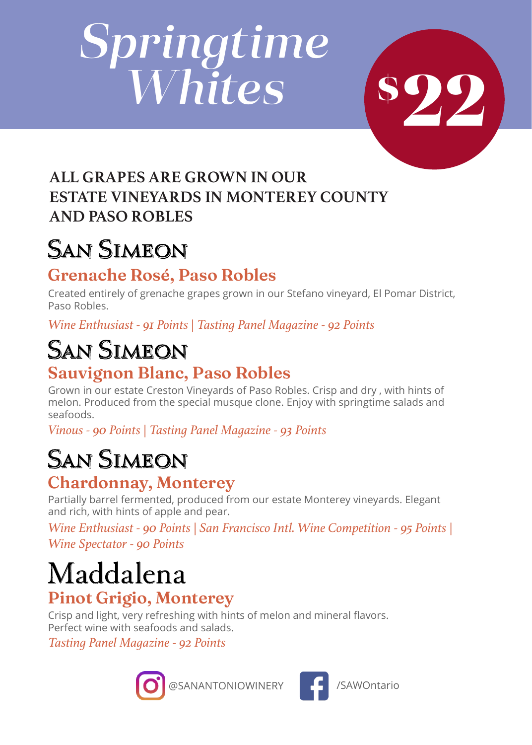# *Springtime Whites*



#### **ALL GRAPES ARE GROWN IN OUR ESTATE VINEYARDS IN MONTEREY COUNTY AND PASO ROBLES**

# San Simeon

#### **Grenache Rosé, Paso Robles**

Created entirely of grenache grapes grown in our Stefano vineyard, El Pomar District, Paso Robles.

*Wine Enthusiast - 91 Points | Tasting Panel Magazine - 92 Points*

#### **SAN SIMEON Sauvignon Blanc, Paso Robles**

Grown in our estate Creston Vineyards of Paso Robles. Crisp and dry , with hints of melon. Produced from the special musque clone. Enjoy with springtime salads and seafoods.

*Vinous - 90 Points | Tasting Panel Magazine - 93 Points*

# San Simeon

#### **Chardonnay, Monterey**

Partially barrel fermented, produced from our estate Monterey vineyards. Elegant and rich, with hints of apple and pear.

*Wine Enthusiast - 90 Points | San Francisco Intl. Wine Competition - 95 Points | Wine Spectator - 90 Points* 

# Maddalena

#### **Pinot Grigio, Monterey**

Crisp and light, very refreshing with hints of melon and mineral flavors. Perfect wine with seafoods and salads.

*Tasting Panel Magazine - 92 Points*